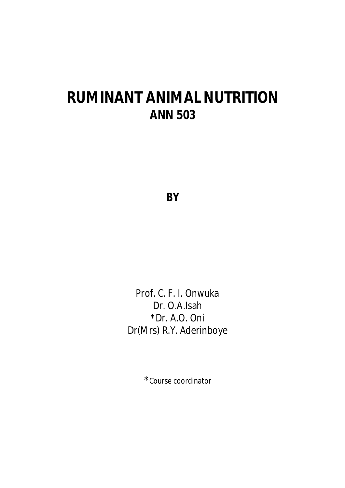# **RUMINANT ANIMAL NUTRITION ANN 503**

**BY**

Prof. C. F. I. Onwuka Dr. O.A.Isah \*Dr. A.O. Oni Dr(Mrs) R.Y. Aderinboye

\*Course coordinator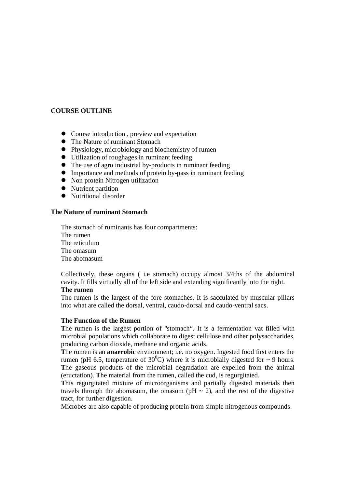# **COURSE OUTLINE**

- Course introduction , preview and expectation
- The Nature of ruminant Stomach
- Physiology, microbiology and biochemistry of rumen
- Utilization of roughages in ruminant feeding
- The use of agro industrial by-products in ruminant feeding
- Importance and methods of protein by-pass in ruminant feeding
- Non protein Nitrogen utilization
- Nutrient partition
- Nutritional disorder

# **The Nature of ruminant Stomach**

The stomach of ruminants has four compartments: The rumen The reticulum The omasum The abomasum

Collectively, these organs ( i.e stomach) occupy almost 3/4ths of the abdominal cavity. It fills virtually all of the left side and extending significantly into the right.

# **The rumen**

The rumen is the largest of the fore stomaches. It is sacculated by muscular pillars into what are called the dorsal, ventral, caudo-dorsal and caudo-ventral sacs.

# **The Function of the Rumen**

The rumen is the largest portion of "stomach". It is a fermentation vat filled with microbial populations which collaborate to digest cellulose and other polysaccharides, producing carbon dioxide, methane and organic acids.

**T**he rumen is an **anaerobic** environment; i.e. no oxygen. Ingested food first enters the rumen (pH 6.5, temperature of  $30^{\circ}$ C) where it is microbially digested for  $\sim$  9 hours. **T**he gaseous products of the microbial degradation are expelled from the animal (eructation). **T**he material from the rumen, called the cud, is regurgitated.

**T**his regurgitated mixture of microorganisms and partially digested materials then travels through the abomasum, the omasum ( $pH \sim 2$ ), and the rest of the digestive tract, for further digestion.

Microbes are also capable of producing protein from simple nitrogenous compounds.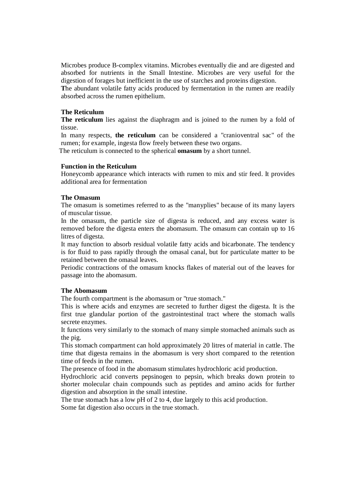Microbes produce B-complex vitamins. Microbes eventually die and are digested and absorbed for nutrients in the Small Intestine. Microbes are very useful for the digestion of forages but inefficient in the use of starches and proteins digestion.

**T**he abundant volatile fatty acids produced by fermentation in the rumen are readily absorbed across the rumen epithelium.

# **The Reticulum**

**The reticulum** lies against the diaphragm and is joined to the rumen by a fold of tissue.

In many respects, **the reticulum** can be considered a "cranioventral sac" of the rumen; for example, ingesta flow freely between these two organs.

The reticulum is connected to the spherical **omasum** by a short tunnel.

#### **Function in the Reticulum**

Honeycomb appearance which interacts with rumen to mix and stir feed. It provides additional area for fermentation

#### **The Omasum**

The omasum is sometimes referred to as the "manyplies" because of its many layers of muscular tissue.

In the omasum, the particle size of digesta is reduced, and any excess water is removed before the digesta enters the abomasum. The omasum can contain up to 16 litres of digesta.

It may function to absorb residual volatile fatty acids and bicarbonate. The tendency is for fluid to pass rapidly through the omasal canal, but for particulate matter to be retained between the omasal leaves.

Periodic contractions of the omasum knocks flakes of material out of the leaves for passage into the abomasum.

#### **The Abomasum**

The fourth compartment is the abomasum or "true stomach."

This is where acids and enzymes are secreted to further digest the digesta. It is the first true glandular portion of the gastrointestinal tract where the stomach walls secrete enzymes.

It functions very similarly to the stomach of many simple stomached animals such as the pig.

This stomach compartment can hold approximately 20 litres of material in cattle. The time that digesta remains in the abomasum is very short compared to the retention time of feeds in the rumen.

The presence of food in the abomasum stimulates hydrochloric acid production.

Hydrochloric acid converts pepsinogen to pepsin, which breaks down protein to shorter molecular chain compounds such as peptides and amino acids for further digestion and absorption in the small intestine.

The true stomach has a low pH of 2 to 4, due largely to this acid production. Some fat digestion also occurs in the true stomach.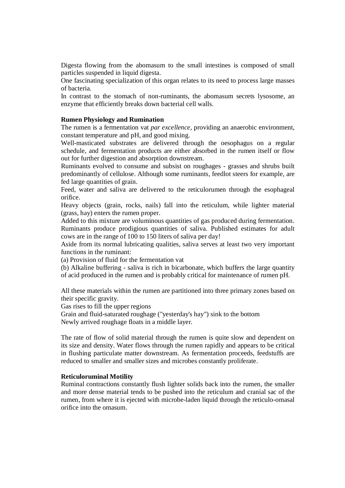Digesta flowing from the abomasum to the small intestines is composed of small particles suspended in liquid digesta.

One fascinating specialization of this organ relates to its need to process large masses of bacteria.

In contrast to the stomach of non-ruminants, the abomasum secrets lysosome, an enzyme that efficiently breaks down bacterial cell walls.

#### **Rumen Physiology and Rumination**

The rumen is a fermentation vat *par excellence*, providing an anaerobic environment, constant temperature and pH, and good mixing.

Well-masticated substrates are delivered through the oesophagus on a regular schedule, and fermentation products are either absorbed in the rumen itself or flow out for further digestion and absorption downstream.

Ruminants evolved to consume and subsist on roughages - grasses and shrubs built predominantly of cellulose. Although some ruminants, feedlot steers for example, are fed large quantities of grain.

Feed, water and saliva are delivered to the reticulorumen through the esophageal orifice.

Heavy objects (grain, rocks, nails) fall into the reticulum, while lighter material (grass, hay) enters the rumen proper.

Added to this mixture are voluminous quantities of gas produced during fermentation. Ruminants produce prodigious quantities of saliva. Published estimates for adult cows are in the range of 100 to 150 liters of saliva per day!

Aside from its normal lubricating qualities, saliva serves at least two very important functions in the ruminant:

(a) Provision of fluid for the fermentation vat

(b) Alkaline buffering - saliva is rich in bicarbonate, which buffers the large quantity of acid produced in the rumen and is probably critical for maintenance of rumen pH.

All these materials within the rumen are partitioned into three primary zones based on their specific gravity.

Gas rises to fill the upper regions

Grain and fluid-saturated roughage ("yesterday's hay") sink to the bottom Newly arrived roughage floats in a middle layer.

The rate of flow of solid material through the rumen is quite slow and dependent on its size and density. Water flows through the rumen rapidly and appears to be critical in flushing particulate matter downstream. As fermentation proceeds, feedstuffs are reduced to smaller and smaller sizes and microbes constantly proliferate.

#### **Reticuloruminal Motility**

Ruminal contractions constantly flush lighter solids back into the rumen, the smaller and more dense material tends to be pushed into the reticulum and cranial sac of the rumen, from where it is ejected with microbe-laden liquid through the reticulo-omasal orifice into the omasum.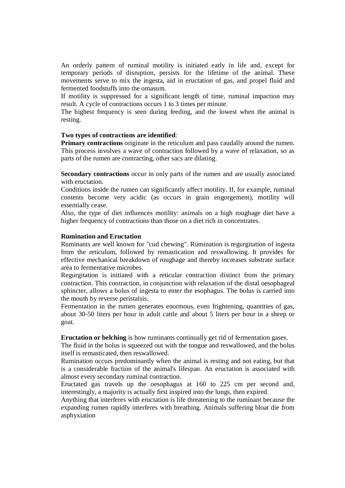An orderly pattern of ruminal motility is initiated early in life and, except for temporary periods of disruption, persists for the lifetime of the animal. These movements serve to mix the ingesta, aid in eructation of gas, and propel fluid and fermented foodstuffs into the omasum.

If motility is suppressed for a significant length of time, ruminal impaction may result. A cycle of contractions occurs 1 to 3 times per minute.

The highest frequency is seen during feeding, and the lowest when the animal is resting.

#### **Two types of contractions are identified**:

**Primary contractions** originate in the reticulum and pass caudally around the rumen. This process involves a wave of contraction followed by a wave of relaxation, so as parts of the rumen are contracting, other sacs are dilating.

**Secondary contractions** occur in only parts of the rumen and are usually associated with eructation.

Conditions inside the rumen can significantly affect motility. If, for example, ruminal contents become very acidic (as occurs in grain engorgement), motility will essentially cease.

Also, the type of diet influences motility: animals on a high roughage diet have a higher frequency of contractions than those on a diet rich in concentrates.

#### **Rumination and Eructation**

Ruminants are well known for "cud chewing". Rumination is regurgitation of ingesta from the reticulum, followed by remastication and reswallowing. It provides for effective mechanical breakdown of roughage and thereby increases substrate surface area to fermentative microbes.

Regurgitation is initiated with a reticular contraction distinct from the primary contraction. This contraction, in conjunction with relaxation of the distal oesophageal sphincter, allows a bolus of ingesta to enter the esophagus. The bolus is carried into the mouth by reverse peristalsis.

Fermentation in the rumen generates enormous, even frightening, quantities of gas, about 30-50 liters per hour in adult cattle and about 5 liters per hour in a sheep or goat.

**Eructation or belching** is how ruminants continually get rid of fermentation gases.

The fluid in the bolus is squeezed out with the tongue and reswallowed, and the bolus itself is remasticated, then reswallowed.

Rumination occurs predominantly when the animal is resting and not eating, but that is a considerable fraction of the animal's lifespan. An eructation is associated with almost every secondary ruminal contraction.

Eructated gas travels up the oesophagus at 160 to 225 cm per second and, interestingly, a majority is actually first inspired into the lungs, then expired.

Anything that interferes with eructation is life threatening to the ruminant because the expanding rumen rapidly interferes with breathing. Animals suffering bloat die from asphyxiation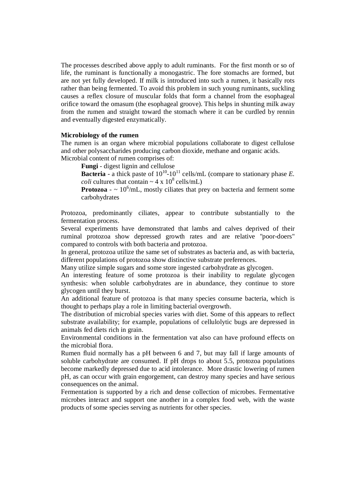The processes described above apply to adult ruminants. For the first month or so of life, the ruminant is functionally a monogastric. The fore stomachs are formed, but are not yet fully developed. If milk is introduced into such a rumen, it basically rots rather than being fermented. To avoid this problem in such young ruminants, suckling causes a reflex closure of muscular folds that form a channel from the esophageal orifice toward the omasum (the esophageal groove). This helps in shunting milk away from the rumen and straight toward the stomach where it can be curdled by rennin and eventually digested enzymatically.

#### **Microbiology of the rumen**

The rumen is an organ where microbial populations collaborate to digest cellulose and other polysaccharides producing carbon dioxide, methane and organic acids. Microbial content of rumen comprises of:

**Fungi** - digest lignin and cellulose

**Bacteria** - a thick paste of  $10^{10}$ - $10^{11}$  cells/mL (compare to stationary phase *E*. *coli* cultures that contain  $\sim 4 \times 10^8$  cells/mL)

**Protozoa** -  $\sim 10^6$ /mL, mostly ciliates that prey on bacteria and ferment some carbohydrates

Protozoa, predominantly ciliates, appear to contribute substantially to the fermentation process.

Several experiments have demonstrated that lambs and calves deprived of their ruminal protozoa show depressed growth rates and are relative "poor-doers" compared to controls with both bacteria and protozoa.

In general, protozoa utilize the same set of substrates as bacteria and, as with bacteria, different populations of protozoa show distinctive substrate preferences.

Many utilize simple sugars and some store ingested carbohydrate as glycogen.

An interesting feature of some protozoa is their inability to regulate glycogen synthesis: when soluble carbohydrates are in abundance, they continue to store glycogen until they burst.

An additional feature of protozoa is that many species consume bacteria, which is thought to perhaps play a role in limiting bacterial overgrowth.

The distribution of microbial species varies with diet. Some of this appears to reflect substrate availability; for example, populations of cellulolytic bugs are depressed in animals fed diets rich in grain.

Environmental conditions in the fermentation vat also can have profound effects on the microbial flora.

Rumen fluid normally has a pH between 6 and 7, but may fall if large amounts of soluble carbohydrate are consumed. If pH drops to about 5.5, protozoa populations become markedly depressed due to acid intolerance. More drastic lowering of rumen pH, as can occur with grain engorgement, can destroy many species and have serious consequences on the animal.

Fermentation is supported by a rich and dense collection of microbes. Fermentative microbes interact and support one another in a complex food web, with the waste products of some species serving as nutrients for other species.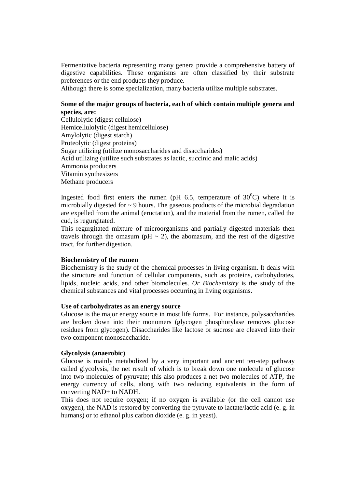Fermentative bacteria representing many genera provide a comprehensive battery of digestive capabilities. These organisms are often classified by their substrate preferences or the end products they produce.

Although there is some specialization, many bacteria utilize multiple substrates.

# **Some of the major groups of bacteria, each of which contain multiple genera and species, are:**

Cellulolytic (digest cellulose) Hemicellulolytic (digest hemicellulose) Amylolytic (digest starch) Proteolytic (digest proteins) Sugar utilizing (utilize monosaccharides and disaccharides) Acid utilizing (utilize such substrates as lactic, succinic and malic acids) Ammonia producers Vitamin synthesizers Methane producers

Ingested food first enters the rumen (pH 6.5, temperature of  $30^{\circ}$ C) where it is microbially digested for  $\sim$  9 hours. The gaseous products of the microbial degradation are expelled from the animal (eructation), and the material from the rumen, called the cud, is regurgitated.

This regurgitated mixture of microorganisms and partially digested materials then travels through the omasum ( $pH \sim 2$ ), the abomasum, and the rest of the digestive tract, for further digestion.

#### **Biochemistry of the rumen**

Biochemistry is the study of the chemical processes in living organism. It deals with the structure and function of cellular components, such as proteins, carbohydrates, lipids, nucleic acids, and other biomolecules. *Or Biochemistry* is the study of the chemical substances and vital processes occurring in living organisms.

#### **Use of carbohydrates as an energy source**

Glucose is the major energy source in most life forms. For instance, polysaccharides are broken down into their monomers (glycogen phosphorylase removes glucose residues from glycogen). Disaccharides like lactose or sucrose are cleaved into their two component monosaccharide.

#### **Glycolysis (anaerobic)**

Glucose is mainly metabolized by a very important and ancient ten-step pathway called glycolysis, the net result of which is to break down one molecule of glucose into two molecules of pyruvate; this also produces a net two molecules of ATP, the energy currency of cells, along with two reducing equivalents in the form of converting NAD+ to NADH.

This does not require oxygen; if no oxygen is available (or the cell cannot use oxygen), the NAD is restored by converting the pyruvate to lactate/lactic acid (e. g. in humans) or to ethanol plus carbon dioxide (e. g. in yeast).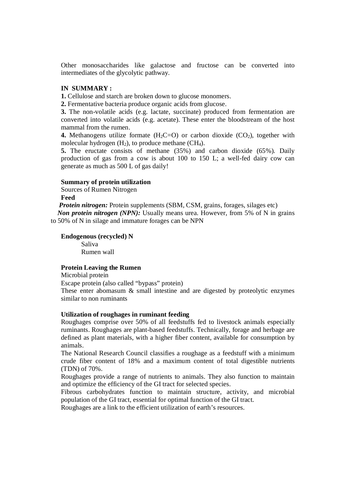Other monosaccharides like galactose and fructose can be converted into intermediates of the glycolytic pathway.

#### **IN SUMMARY :**

**1.** Cellulose and starch are broken down to glucose monomers.

**2.** Fermentative bacteria produce organic acids from glucose.

**3.** The non-volatile acids (e.g. lactate, succinate) produced from fermentation are converted into volatile acids (e.g. acetate). These enter the bloodstream of the host mammal from the rumen.

**4.** Methanogens utilize formate  $(H_2C=O)$  or carbon dioxide  $(CO_2)$ , together with molecular hydrogen  $(H_2)$ , to produce methane  $(CH_4)$ .

**5.** The eructate consists of methane (35%) and carbon dioxide (65%). Daily production of gas from a cow is about 100 to 150 L; a well-fed dairy cow can generate as much as 500 L of gas daily!

#### **Summary of protein utilization**

Sources of Rumen Nitrogen

**Feed**

*Protein nitrogen:* Protein supplements (SBM, CSM, grains, forages, silages etc)

*Non protein nitrogen (NPN)*: Usually means urea. However, from 5% of N in grains to 50% of N in silage and immature forages can be NPN

#### **Endogenous (recycled) N** Saliva Rumen wall

#### **Protein Leaving the Rumen**

Microbial protein

Escape protein (also called "bypass" protein)

These enter abomasum & small intestine and are digested by proteolytic enzymes similar to non ruminants

# **Utilization of roughages in ruminant feeding**

Roughages comprise over 50% of all feedstuffs fed to livestock animals especially ruminants. Roughages are plant-based feedstuffs. Technically, forage and herbage are defined as plant materials, with a higher fiber content, available for consumption by animals.

The National Research Council classifies a roughage as a feedstuff with a minimum crude fiber content of 18% and a maximum content of total digestible nutrients (TDN) of 70%.

Roughages provide a range of nutrients to animals. They also function to maintain and optimize the efficiency of the GI tract for selected species.

Fibrous carbohydrates function to maintain structure, activity, and microbial population of the GI tract, essential for optimal function of the GI tract.

Roughages are a link to the efficient utilization of earth's resources.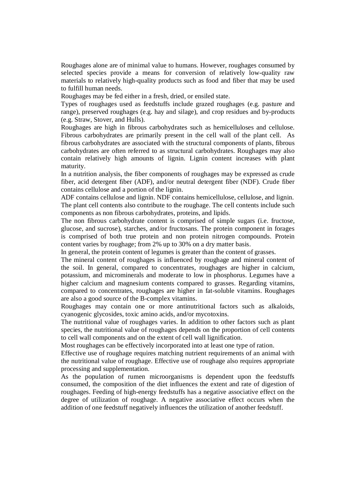Roughages alone are of minimal value to humans. However, roughages consumed by selected species provide a means for conversion of relatively low-quality raw materials to relatively high-quality products such as food and fiber that may be used to fulfill human needs.

Roughages may be fed either in a fresh, dried, or ensiled state.

Types of roughages used as feedstuffs include grazed roughages (e.g. pasture and range), preserved roughages (e.g. hay and silage), and crop residues and by-products (e.g. Straw, Stover, and Hulls).

Roughages are high in fibrous carbohydrates such as hemicelluloses and cellulose. Fibrous carbohydrates are primarily present in the cell wall of the plant cell. As fibrous carbohydrates are associated with the structural components of plants, fibrous carbohydrates are often referred to as structural carbohydrates. Roughages may also contain relatively high amounts of lignin. Lignin content increases with plant maturity.

In a nutrition analysis, the fiber components of roughages may be expressed as crude fiber, acid detergent fiber (ADF), and/or neutral detergent fiber (NDF). Crude fiber contains cellulose and a portion of the lignin.

ADF contains cellulose and lignin. NDF contains hemicellulose, cellulose, and lignin. The plant cell contents also contribute to the roughage. The cell contents include such components as non fibrous carbohydrates, proteins, and lipids.

The non fibrous carbohydrate content is comprised of simple sugars (i.e. fructose, glucose, and sucrose), starches, and/or fructosans. The protein component in forages is comprised of both true protein and non protein nitrogen compounds. Protein content varies by roughage; from 2% up to 30% on a dry matter basis.

In general, the protein content of legumes is greater than the content of grasses.

The mineral content of roughages is influenced by roughage and mineral content of the soil. In general, compared to concentrates, roughages are higher in calcium, potassium, and microminerals and moderate to low in phosphorus. Legumes have a higher calcium and magnesium contents compared to grasses. Regarding vitamins, compared to concentrates, roughages are higher in fat-soluble vitamins. Roughages are also a good source of the B-complex vitamins.

Roughages may contain one or more antinutritional factors such as alkaloids, cyanogenic glycosides, toxic amino acids, and/or mycotoxins.

The nutritional value of roughages varies. In addition to other factors such as plant species, the nutritional value of roughages depends on the proportion of cell contents to cell wall components and on the extent of cell wall lignification.

Most roughages can be effectively incorporated into at least one type of ration.

Effective use of roughage requires matching nutrient requirements of an animal with the nutritional value of roughage. Effective use of roughage also requires appropriate processing and supplementation.

As the population of rumen microorganisms is dependent upon the feedstuffs consumed, the composition of the diet influences the extent and rate of digestion of roughages. Feeding of high-energy feedstuffs has a negative associative effect on the degree of utilization of roughage. A negative associative effect occurs when the addition of one feedstuff negatively influences the utilization of another feedstuff.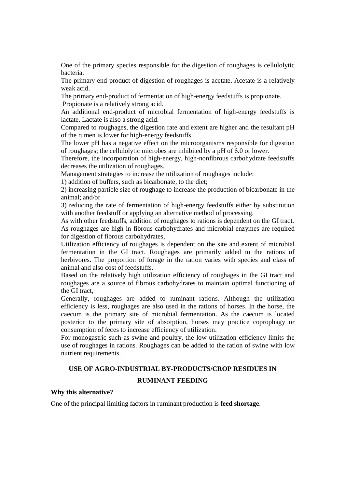One of the primary species responsible for the digestion of roughages is cellulolytic bacteria.

The primary end-product of digestion of roughages is acetate. Acetate is a relatively weak acid.

The primary end-product of fermentation of high-energy feedstuffs is propionate. Propionate is a relatively strong acid.

An additional end-product of microbial fermentation of high-energy feedstuffs is lactate. Lactate is also a strong acid.

Compared to roughages, the digestion rate and extent are higher and the resultant pH of the rumen is lower for high-energy feedstuffs.

The lower pH has a negative effect on the microorganisms responsible for digestion of roughages; the cellulolytic microbes are inhibited by a pH of 6.0 or lower.

Therefore, the incorporation of high-energy, high-nonfibrous carbohydrate feedstuffs decreases the utilization of roughages.

Management strategies to increase the utilization of roughages include:

1) addition of buffers, such as bicarbonate, to the diet;

2) increasing particle size of roughage to increase the production of bicarbonate in the animal; and/or

3) reducing the rate of fermentation of high-energy feedstuffs either by substitution with another feedstuff or applying an alternative method of processing.

As with other feedstuffs, addition of roughages to rations is dependent on the GI tract. As roughages are high in fibrous carbohydrates and microbial enzymes are required for digestion of fibrous carbohydrates,

Utilization efficiency of roughages is dependent on the site and extent of microbial fermentation in the GI tract. Roughages are primarily added to the rations of herbivores. The proportion of forage in the ration varies with species and class of animal and also cost of feedstuffs.

Based on the relatively high utilization efficiency of roughages in the GI tract and roughages are a source of fibrous carbohydrates to maintain optimal functioning of the GI tract,

Generally, roughages are added to ruminant rations. Although the utilization efficiency is less, roughages are also used in the rations of horses. In the horse, the caecum is the primary site of microbial fermentation. As the caecum is located posterior to the primary site of absorption, horses may practice coprophagy or consumption of feces to increase efficiency of utilization.

For monogastric such as swine and poultry, the low utilization efficiency limits the use of roughages in rations. Roughages can be added to the ration of swine with low nutrient requirements.

#### **USE OF AGRO-INDUSTRIAL BY-PRODUCTS/CROP RESIDUES IN**

#### **RUMINANT FEEDING**

#### **Why this alternative?**

One of the principal limiting factors in ruminant production is **feed shortage**.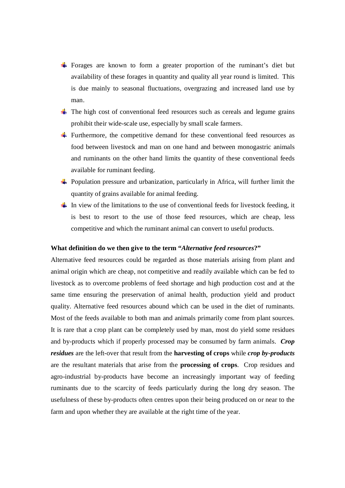- Forages are known to form a greater proportion of the ruminant's diet but availability of these forages in quantity and quality all year round is limited. This is due mainly to seasonal fluctuations, overgrazing and increased land use by man.
- $\pm$  The high cost of conventional feed resources such as cereals and legume grains prohibit their wide-scale use, especially by small scale farmers.
- Furthermore, the competitive demand for these conventional feed resources as food between livestock and man on one hand and between monogastric animals and ruminants on the other hand limits the quantity of these conventional feeds available for ruminant feeding.
- $\downarrow$  Population pressure and urbanization, particularly in Africa, will further limit the quantity of grains available for animal feeding.
- In view of the limitations to the use of conventional feeds for livestock feeding, it is best to resort to the use of those feed resources, which are cheap, less competitive and which the ruminant animal can convert to useful products.

#### **What definition do we then give to the term "***Alternative feed resources***?"**

Alternative feed resources could be regarded as those materials arising from plant and animal origin which are cheap, not competitive and readily available which can be fed to livestock as to overcome problems of feed shortage and high production cost and at the same time ensuring the preservation of animal health, production yield and product quality. Alternative feed resources abound which can be used in the diet of ruminants. Most of the feeds available to both man and animals primarily come from plant sources. It is rare that a crop plant can be completely used by man, most do yield some residues and by-products which if properly processed may be consumed by farm animals. *Crop residues* are the left-over that result from the **harvesting of crops** while *crop by-products* are the resultant materials that arise from the **processing of crops**. Crop residues and agro-industrial by-products have become an increasingly important way of feeding ruminants due to the scarcity of feeds particularly during the long dry season. The usefulness of these by-products often centres upon their being produced on or near to the farm and upon whether they are available at the right time of the year.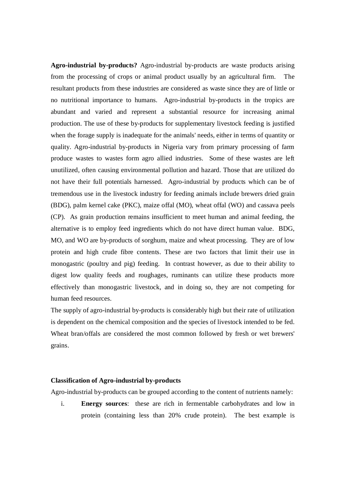**Agro-industrial by-products?** Agro-industrial by-products are waste products arising from the processing of crops or animal product usually by an agricultural firm. The resultant products from these industries are considered as waste since they are of little or no nutritional importance to humans. Agro-industrial by-products in the tropics are abundant and varied and represent a substantial resource for increasing animal production. The use of these by-products for supplementary livestock feeding is justified when the forage supply is inadequate for the animals' needs, either in terms of quantity or quality. Agro-industrial by-products in Nigeria vary from primary processing of farm produce wastes to wastes form agro allied industries. Some of these wastes are left unutilized, often causing environmental pollution and hazard. Those that are utilized do not have their full potentials harnessed. Agro-industrial by products which can be of tremendous use in the livestock industry for feeding animals include brewers dried grain (BDG), palm kernel cake (PKC), maize offal (MO), wheat offal (WO) and cassava peels (CP). As grain production remains insufficient to meet human and animal feeding, the alternative is to employ feed ingredients which do not have direct human value. BDG, MO, and WO are by-products of sorghum, maize and wheat processing. They are of low protein and high crude fibre contents. These are two factors that limit their use in monogastric (poultry and pig) feeding. In contrast however, as due to their ability to digest low quality feeds and roughages, ruminants can utilize these products more effectively than monogastric livestock, and in doing so, they are not competing for human feed resources.

The supply of agro-industrial by-products is considerably high but their rate of utilization is dependent on the chemical composition and the species of livestock intended to be fed. Wheat bran/offals are considered the most common followed by fresh or wet brewers' grains.

## **Classification of Agro-industrial by-products**

Agro-industrial by-products can be grouped according to the content of nutrients namely:

i. **Energy sources**: these are rich in fermentable carbohydrates and low in protein (containing less than 20% crude protein). The best example is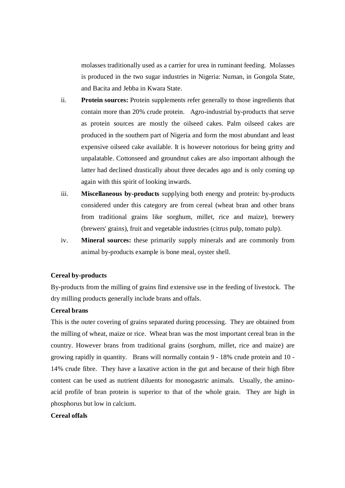molasses traditionally used as a carrier for urea in ruminant feeding. Molasses is produced in the two sugar industries in Nigeria: Numan, in Gongola State, and Bacita and Jebba in Kwara State.

- ii. **Protein sources:** Protein supplements refer generally to those ingredients that contain more than 20% crude protein. Agro-industrial by-products that serve as protein sources are mostly the oilseed cakes. Palm oilseed cakes are produced in the southern part of Nigeria and form the most abundant and least expensive oilseed cake available. It is however notorious for being gritty and unpalatable. Cottonseed and groundnut cakes are also important although the latter had declined drastically about three decades ago and is only coming up again with this spirit of looking inwards.
- iii. **Miscellaneous by-products** supplying both energy and protein: by-products considered under this category are from cereal (wheat bran and other brans from traditional grains like sorghum, millet, rice and maize), brewery (brewers' grains), fruit and vegetable industries (citrus pulp, tomato pulp).
- iv. **Mineral sources:** these primarily supply minerals and are commonly from animal by-products example is bone meal, oyster shell.

# **Cereal by-products**

By-products from the milling of grains find extensive use in the feeding of livestock. The dry milling products generally include brans and offals.

#### **Cereal brans**

This is the outer covering of grains separated during processing. They are obtained from the milling of wheat, maize or rice. Wheat bran was the most important cereal bran in the country. However brans from traditional grains (sorghum, millet, rice and maize) are growing rapidly in quantity. Brans will normally contain 9 - 18% crude protein and 10 - 14% crude fibre. They have a laxative action in the gut and because of their high fibre content can be used as nutrient diluents for monogastric animals. Usually, the aminoacid profile of bran protein is superior to that of the whole grain. They are high in phosphorus but low in calcium.

#### **Cereal offals**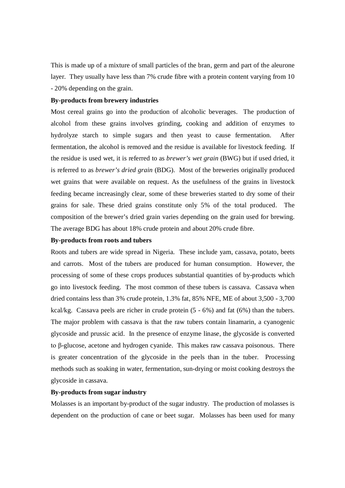This is made up of a mixture of small particles of the bran, germ and part of the aleurone layer. They usually have less than 7% crude fibre with a protein content varying from 10 - 20% depending on the grain.

#### **By-products from brewery industries**

Most cereal grains go into the production of alcoholic beverages. The production of alcohol from these grains involves grinding, cooking and addition of enzymes to hydrolyze starch to simple sugars and then yeast to cause fermentation. After fermentation, the alcohol is removed and the residue is available for livestock feeding. If the residue is used wet, it is referred to as *brewer's wet grain* (BWG) but if used dried, it is referred to as *brewer's dried grain* (BDG). Most of the breweries originally produced wet grains that were available on request. As the usefulness of the grains in livestock feeding became increasingly clear, some of these breweries started to dry some of their grains for sale. These dried grains constitute only 5% of the total produced. The composition of the brewer's dried grain varies depending on the grain used for brewing. The average BDG has about 18% crude protein and about 20% crude fibre.

#### **By-products from roots and tubers**

Roots and tubers are wide spread in Nigeria. These include yam, cassava, potato, beets and carrots. Most of the tubers are produced for human consumption. However, the processing of some of these crops produces substantial quantities of by-products which go into livestock feeding. The most common of these tubers is cassava. Cassava when dried contains less than 3% crude protein, 1.3% fat, 85% NFE, ME of about 3,500 - 3,700 kcal/kg. Cassava peels are richer in crude protein (5 - 6%) and fat (6%) than the tubers. The major problem with cassava is that the raw tubers contain linamarin, a cyanogenic glycoside and prussic acid. In the presence of enzyme linase, the glycoside is converted to β-glucose, acetone and hydrogen cyanide. This makes raw cassava poisonous. There is greater concentration of the glycoside in the peels than in the tuber. Processing methods such as soaking in water, fermentation, sun-drying or moist cooking destroys the glycoside in cassava.

#### **By-products from sugar industry**

Molasses is an important by-product of the sugar industry. The production of molasses is dependent on the production of cane or beet sugar. Molasses has been used for many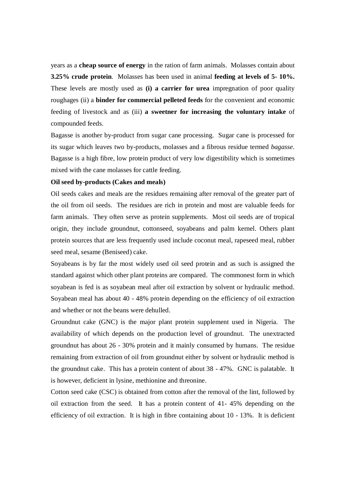years as a **cheap source of energy** in the ration of farm animals. Molasses contain about **3.25% crude protein**. Molasses has been used in animal **feeding at levels of 5- 10%.** These levels are mostly used as **(i) a carrier for urea** impregnation of poor quality roughages (ii) a **binder for commercial pelleted feeds** for the convenient and economic feeding of livestock and as (iii) **a sweetner for increasing the voluntary intake** of compounded feeds.

Bagasse is another by-product from sugar cane processing. Sugar cane is processed for its sugar which leaves two by-products, molasses and a fibrous residue termed *bagasse.*  Bagasse is a high fibre, low protein product of very low digestibility which is sometimes mixed with the cane molasses for cattle feeding.

#### **Oil seed by-products (Cakes and meals)**

Oil seeds cakes and meals are the residues remaining after removal of the greater part of the oil from oil seeds. The residues are rich in protein and most are valuable feeds for farm animals. They often serve as protein supplements. Most oil seeds are of tropical origin, they include groundnut, cottonseed, soyabeans and palm kernel. Others plant protein sources that are less frequently used include coconut meal, rapeseed meal, rubber seed meal, sesame (Beniseed) cake.

Soyabeans is by far the most widely used oil seed protein and as such is assigned the standard against which other plant proteins are compared. The commonest form in which soyabean is fed is as soyabean meal after oil extraction by solvent or hydraulic method. Soyabean meal has about 40 - 48% protein depending on the efficiency of oil extraction and whether or not the beans were dehulled.

Groundnut cake (GNC) is the major plant protein supplement used in Nigeria. The availability of which depends on the production level of groundnut. The unextracted groundnut has about 26 - 30% protein and it mainly consumed by humans. The residue remaining from extraction of oil from groundnut either by solvent or hydraulic method is the groundnut cake. This has a protein content of about 38 - 47%. GNC is palatable. It is however, deficient in lysine, methionine and threonine.

Cotton seed cake (CSC) is obtained from cotton after the removal of the lint, followed by oil extraction from the seed. It has a protein content of 41- 45% depending on the efficiency of oil extraction. It is high in fibre containing about 10 - 13%. It is deficient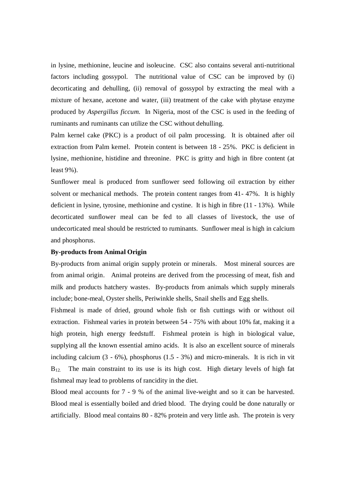in lysine, methionine, leucine and isoleucine. CSC also contains several anti-nutritional factors including gossypol. The nutritional value of CSC can be improved by (i) decorticating and dehulling, (ii) removal of gossypol by extracting the meal with a mixture of hexane, acetone and water, (iii) treatment of the cake with phytase enzyme produced by *Aspergillus ficcum.* In Nigeria, most of the CSC is used in the feeding of ruminants and ruminants can utilize the CSC without dehulling.

Palm kernel cake (PKC) is a product of oil palm processing. It is obtained after oil extraction from Palm kernel. Protein content is between 18 - 25%. PKC is deficient in lysine, methionine, histidine and threonine. PKC is gritty and high in fibre content (at least 9%).

Sunflower meal is produced from sunflower seed following oil extraction by either solvent or mechanical methods. The protein content ranges from 41- 47%. It is highly deficient in lysine, tyrosine, methionine and cystine. It is high in fibre (11 - 13%). While decorticated sunflower meal can be fed to all classes of livestock, the use of undecorticated meal should be restricted to ruminants. Sunflower meal is high in calcium and phosphorus.

#### **By-products from Animal Origin**

By-products from animal origin supply protein or minerals. Most mineral sources are from animal origin. Animal proteins are derived from the processing of meat, fish and milk and products hatchery wastes. By-products from animals which supply minerals include; bone-meal, Oyster shells, Periwinkle shells, Snail shells and Egg shells.

Fishmeal is made of dried, ground whole fish or fish cuttings with or without oil extraction. Fishmeal varies in protein between 54 - 75% with about 10% fat, making it a high protein, high energy feedstuff. Fishmeal protein is high in biological value, supplying all the known essential amino acids. It is also an excellent source of minerals including calcium (3 - 6%), phosphorus (1.5 - 3%) and micro-minerals. It is rich in vit  $B_{12}$ . The main constraint to its use is its high cost. High dietary levels of high fat fishmeal may lead to problems of rancidity in the diet.

Blood meal accounts for 7 - 9 % of the animal live-weight and so it can be harvested. Blood meal is essentially boiled and dried blood. The drying could be done naturally or artificially. Blood meal contains 80 - 82% protein and very little ash. The protein is very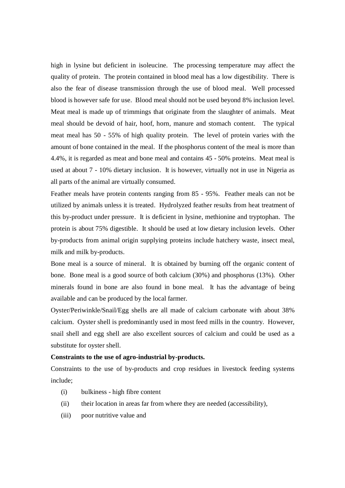high in lysine but deficient in isoleucine. The processing temperature may affect the quality of protein. The protein contained in blood meal has a low digestibility. There is also the fear of disease transmission through the use of blood meal. Well processed blood is however safe for use. Blood meal should not be used beyond 8% inclusion level. Meat meal is made up of trimmings that originate from the slaughter of animals. Meat meal should be devoid of hair, hoof, horn, manure and stomach content. The typical meat meal has 50 - 55% of high quality protein. The level of protein varies with the amount of bone contained in the meal. If the phosphorus content of the meal is more than 4.4%, it is regarded as meat and bone meal and contains 45 - 50% proteins. Meat meal is used at about 7 - 10% dietary inclusion. It is however, virtually not in use in Nigeria as all parts of the animal are virtually consumed.

Feather meals have protein contents ranging from 85 - 95%. Feather meals can not be utilized by animals unless it is treated. Hydrolyzed feather results from heat treatment of this by-product under pressure. It is deficient in lysine, methionine and tryptophan. The protein is about 75% digestible. It should be used at low dietary inclusion levels. Other by-products from animal origin supplying proteins include hatchery waste, insect meal, milk and milk by-products.

Bone meal is a source of mineral. It is obtained by burning off the organic content of bone. Bone meal is a good source of both calcium (30%) and phosphorus (13%). Other minerals found in bone are also found in bone meal. It has the advantage of being available and can be produced by the local farmer.

Oyster/Periwinkle/Snail/Egg shells are all made of calcium carbonate with about 38% calcium. Oyster shell is predominantly used in most feed mills in the country. However, snail shell and egg shell are also excellent sources of calcium and could be used as a substitute for oyster shell.

#### **Constraints to the use of agro-industrial by-products.**

Constraints to the use of by-products and crop residues in livestock feeding systems include;

- (i) bulkiness high fibre content
- (ii) their location in areas far from where they are needed (accessibility),
- (iii) poor nutritive value and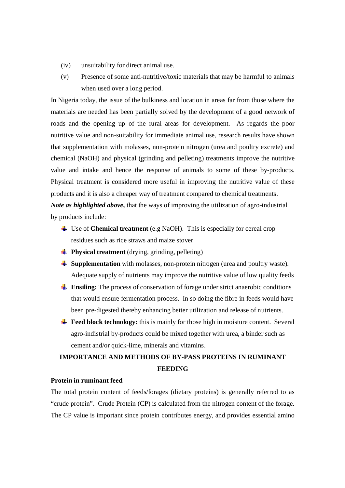- (iv) unsuitability for direct animal use.
- (v) Presence of some anti-nutritive/toxic materials that may be harmful to animals when used over a long period.

In Nigeria today, the issue of the bulkiness and location in areas far from those where the materials are needed has been partially solved by the development of a good network of roads and the opening up of the rural areas for development. As regards the poor nutritive value and non-suitability for immediate animal use, research results have shown that supplementation with molasses, non-protein nitrogen (urea and poultry excrete) and chemical (NaOH) and physical (grinding and pelleting) treatments improve the nutritive value and intake and hence the response of animals to some of these by-products. Physical treatment is considered more useful in improving the nutritive value of these products and it is also a cheaper way of treatment compared to chemical treatments. *Note as highlighted above,* that the ways of improving the utilization of agro-industrial by products include:

- Use of **Chemical treatment** (e.g NaOH). This is especially for cereal crop residues such as rice straws and maize stover
- **Physical treatment** (drying, grinding, pelleting)
- **Supplementation** with molasses, non-protein nitrogen (urea and poultry waste). Adequate supply of nutrients may improve the nutritive value of low quality feeds
- **Ensiling:** The process of conservation of forage under strict anaerobic conditions that would ensure fermentation process. In so doing the fibre in feeds would have been pre-digested thereby enhancing better utilization and release of nutrients.
- **Feed block technology:** this is mainly for those high in moisture content. Several agro-indistrial by-products could be mixed together with urea, a binder such as cement and/or quick-lime, minerals and vitamins.

# **IMPORTANCE AND METHODS OF BY-PASS PROTEINS IN RUMINANT FEEDING**

# **Protein in ruminant feed**

The total protein content of feeds/forages (dietary proteins) is generally referred to as "crude protein". Crude Protein (CP) is calculated from the nitrogen content of the forage. The CP value is important since protein contributes energy, and provides essential amino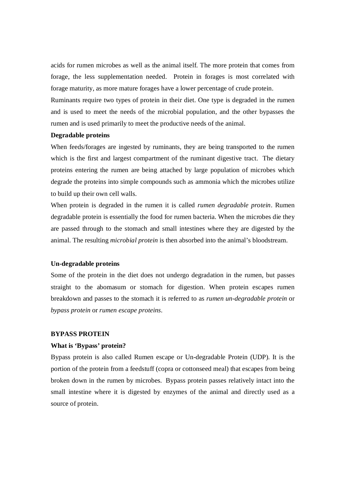acids for rumen microbes as well as the animal itself. The more protein that comes from forage, the less supplementation needed. Protein in forages is most correlated with forage maturity, as more mature forages have a lower percentage of crude protein.

Ruminants require two types of protein in their diet. One type is degraded in the rumen and is used to meet the needs of the microbial population, and the other bypasses the rumen and is used primarily to meet the productive needs of the animal.

#### **Degradable proteins**

When feeds/forages are ingested by ruminants, they are being transported to the rumen which is the first and largest compartment of the ruminant digestive tract. The dietary proteins entering the rumen are being attached by large population of microbes which degrade the proteins into simple compounds such as ammonia which the microbes utilize to build up their own cell walls.

When protein is degraded in the rumen it is called *rumen degradable protein*. Rumen degradable protein is essentially the food for rumen bacteria. When the microbes die they are passed through to the stomach and small intestines where they are digested by the animal. The resulting *microbial protein* is then absorbed into the animal's bloodstream.

#### **Un-degradable proteins**

Some of the protein in the diet does not undergo degradation in the rumen, but passes straight to the abomasum or stomach for digestion. When protein escapes rumen breakdown and passes to the stomach it is referred to as *rumen un-degradable protein* or *bypass protein* or *rumen escape proteins*.

#### **BYPASS PROTEIN**

#### **What is 'Bypass' protein?**

Bypass protein is also called Rumen escape or Un-degradable Protein (UDP). It is the portion of the protein from a feedstuff (copra or cottonseed meal) that escapes from being broken down in the rumen by microbes. Bypass protein passes relatively intact into the small intestine where it is digested by enzymes of the animal and directly used as a source of protein.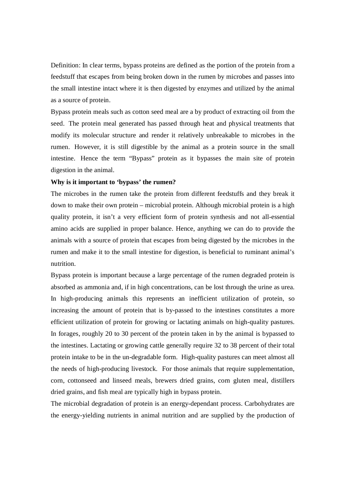Definition: In clear terms, bypass proteins are defined as the portion of the protein from a feedstuff that escapes from being broken down in the rumen by microbes and passes into the small intestine intact where it is then digested by enzymes and utilized by the animal as a source of protein.

Bypass protein meals such as cotton seed meal are a by product of extracting oil from the seed. The protein meal generated has passed through heat and physical treatments that modify its molecular structure and render it relatively unbreakable to microbes in the rumen. However, it is still digestible by the animal as a protein source in the small intestine. Hence the term "Bypass" protein as it bypasses the main site of protein digestion in the animal.

#### **Why is it important to 'bypass' the rumen?**

The microbes in the rumen take the protein from different feedstuffs and they break it down to make their own protein – microbial protein. Although microbial protein is a high quality protein, it isn't a very efficient form of protein synthesis and not all-essential amino acids are supplied in proper balance. Hence, anything we can do to provide the animals with a source of protein that escapes from being digested by the microbes in the rumen and make it to the small intestine for digestion, is beneficial to ruminant animal's nutrition.

Bypass protein is important because a large percentage of the rumen degraded protein is absorbed as ammonia and, if in high concentrations, can be lost through the urine as urea. In high-producing animals this represents an inefficient utilization of protein, so increasing the amount of protein that is by-passed to the intestines constitutes a more efficient utilization of protein for growing or lactating animals on high-quality pastures. In forages, roughly 20 to 30 percent of the protein taken in by the animal is bypassed to the intestines. Lactating or growing cattle generally require 32 to 38 percent of their total protein intake to be in the un-degradable form. High-quality pastures can meet almost all the needs of high-producing livestock. For those animals that require supplementation, corn, cottonseed and linseed meals, brewers dried grains, corn gluten meal, distillers dried grains, and fish meal are typically high in bypass protein.

The microbial degradation of protein is an energy-dependant process. Carbohydrates are the energy-yielding nutrients in animal nutrition and are supplied by the production of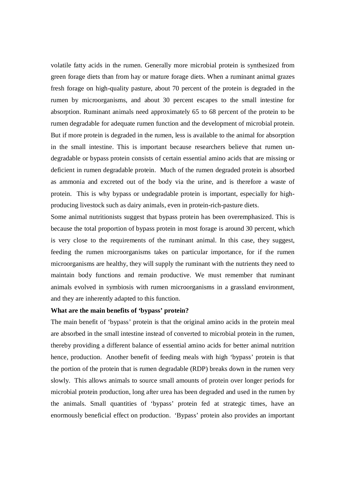volatile fatty acids in the rumen. Generally more microbial protein is synthesized from green forage diets than from hay or mature forage diets. When a ruminant animal grazes fresh forage on high-quality pasture, about 70 percent of the protein is degraded in the rumen by microorganisms, and about 30 percent escapes to the small intestine for absorption. Ruminant animals need approximately 65 to 68 percent of the protein to be rumen degradable for adequate rumen function and the development of microbial protein. But if more protein is degraded in the rumen, less is available to the animal for absorption in the small intestine. This is important because researchers believe that rumen undegradable or bypass protein consists of certain essential amino acids that are missing or deficient in rumen degradable protein. Much of the rumen degraded protein is absorbed as ammonia and excreted out of the body via the urine, and is therefore a waste of protein. This is why bypass or undegradable protein is important, especially for highproducing livestock such as dairy animals, even in protein-rich-pasture diets.

Some animal nutritionists suggest that bypass protein has been overemphasized. This is because the total proportion of bypass protein in most forage is around 30 percent, which is very close to the requirements of the ruminant animal. In this case, they suggest, feeding the rumen microorganisms takes on particular importance, for if the rumen microorganisms are healthy, they will supply the ruminant with the nutrients they need to maintain body functions and remain productive. We must remember that ruminant animals evolved in symbiosis with rumen microorganisms in a grassland environment, and they are inherently adapted to this function.

#### **What are the main benefits of 'bypass' protein?**

The main benefit of 'bypass' protein is that the original amino acids in the protein meal are absorbed in the small intestine instead of converted to microbial protein in the rumen, thereby providing a different balance of essential amino acids for better animal nutrition hence, production. Another benefit of feeding meals with high 'bypass' protein is that the portion of the protein that is rumen degradable (RDP) breaks down in the rumen very slowly. This allows animals to source small amounts of protein over longer periods for microbial protein production, long after urea has been degraded and used in the rumen by the animals. Small quantities of 'bypass' protein fed at strategic times, have an enormously beneficial effect on production. 'Bypass' protein also provides an important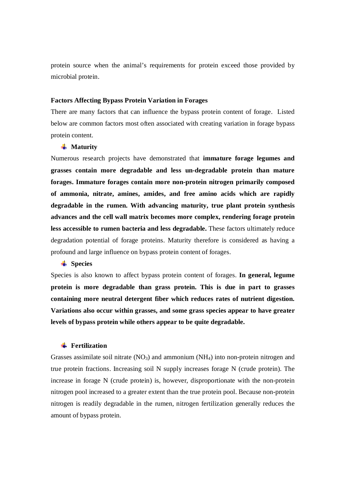protein source when the animal's requirements for protein exceed those provided by microbial protein.

#### **Factors Affecting Bypass Protein Variation in Forages**

There are many factors that can influence the bypass protein content of forage. Listed below are common factors most often associated with creating variation in forage bypass protein content.

#### **Waturity**

Numerous research projects have demonstrated that **immature forage legumes and grasses contain more degradable and less un-degradable protein than mature forages. Immature forages contain more non-protein nitrogen primarily composed of ammonia, nitrate, amines, amides, and free amino acids which are rapidly degradable in the rumen. With advancing maturity, true plant protein synthesis advances and the cell wall matrix becomes more complex, rendering forage protein less accessible to rumen bacteria and less degradable.** These factors ultimately reduce degradation potential of forage proteins. Maturity therefore is considered as having a profound and large influence on bypass protein content of forages.

#### **Species**

Species is also known to affect bypass protein content of forages. **In general, legume protein is more degradable than grass protein. This is due in part to grasses containing more neutral detergent fiber which reduces rates of nutrient digestion. Variations also occur within grasses, and some grass species appear to have greater levels of bypass protein while others appear to be quite degradable.** 

# **Fertilization**

Grasses assimilate soil nitrate  $(NO<sub>3</sub>)$  and ammonium  $(NH<sub>4</sub>)$  into non-protein nitrogen and true protein fractions. Increasing soil N supply increases forage N (crude protein). The increase in forage N (crude protein) is, however, disproportionate with the non-protein nitrogen pool increased to a greater extent than the true protein pool. Because non-protein nitrogen is readily degradable in the rumen, nitrogen fertilization generally reduces the amount of bypass protein.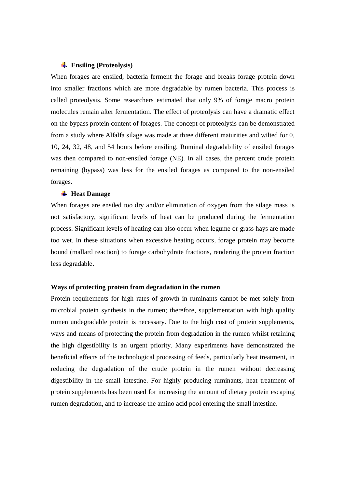#### **Ensiling (Proteolysis)**

When forages are ensiled, bacteria ferment the forage and breaks forage protein down into smaller fractions which are more degradable by rumen bacteria. This process is called proteolysis. Some researchers estimated that only 9% of forage macro protein molecules remain after fermentation. The effect of proteolysis can have a dramatic effect on the bypass protein content of forages. The concept of proteolysis can be demonstrated from a study where Alfalfa silage was made at three different maturities and wilted for 0, 10, 24, 32, 48, and 54 hours before ensiling. Ruminal degradability of ensiled forages was then compared to non-ensiled forage (NE). In all cases, the percent crude protein remaining (bypass) was less for the ensiled forages as compared to the non-ensiled forages.

#### **Heat Damage**

When forages are ensiled too dry and/or elimination of oxygen from the silage mass is not satisfactory, significant levels of heat can be produced during the fermentation process. Significant levels of heating can also occur when legume or grass hays are made too wet. In these situations when excessive heating occurs, forage protein may become bound (mallard reaction) to forage carbohydrate fractions, rendering the protein fraction less degradable.

#### **Ways of protecting protein from degradation in the rumen**

Protein requirements for high rates of growth in ruminants cannot be met solely from microbial protein synthesis in the rumen; therefore, supplementation with high quality rumen undegradable protein is necessary. Due to the high cost of protein supplements, ways and means of protecting the protein from degradation in the rumen whilst retaining the high digestibility is an urgent priority. Many experiments have demonstrated the beneficial effects of the technological processing of feeds, particularly heat treatment, in reducing the degradation of the crude protein in the rumen without decreasing digestibility in the small intestine. For highly producing ruminants, heat treatment of protein supplements has been used for increasing the amount of dietary protein escaping rumen degradation, and to increase the amino acid pool entering the small intestine.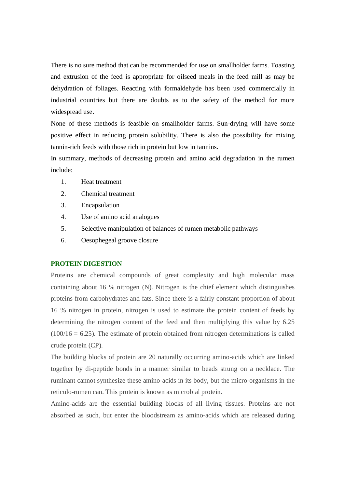There is no sure method that can be recommended for use on smallholder farms. Toasting and extrusion of the feed is appropriate for oilseed meals in the feed mill as may be dehydration of foliages. Reacting with formaldehyde has been used commercially in industrial countries but there are doubts as to the safety of the method for more widespread use.

None of these methods is feasible on smallholder farms. Sun-drying will have some positive effect in reducing protein solubility. There is also the possibility for mixing tannin-rich feeds with those rich in protein but low in tannins.

In summary, methods of decreasing protein and amino acid degradation in the rumen include:

- 1. Heat treatment
- 2. Chemical treatment
- 3. Encapsulation
- 4. Use of amino acid analogues
- 5. Selective manipulation of balances of rumen metabolic pathways
- 6. Oesophegeal groove closure

#### **PROTEIN DIGESTION**

Proteins are chemical compounds of great complexity and high molecular mass containing about 16 % nitrogen (N). Nitrogen is the chief element which distinguishes proteins from carbohydrates and fats. Since there is a fairly constant proportion of about 16 % nitrogen in protein, nitrogen is used to estimate the protein content of feeds by determining the nitrogen content of the feed and then multiplying this value by 6.25  $(100/16 = 6.25)$ . The estimate of protein obtained from nitrogen determinations is called crude protein (CP).

The building blocks of protein are 20 naturally occurring amino-acids which are linked together by di-peptide bonds in a manner similar to beads strung on a necklace. The ruminant cannot synthesize these amino-acids in its body, but the micro-organisms in the reticulo-rumen can. This protein is known as microbial protein.

Amino-acids are the essential building blocks of all living tissues. Proteins are not absorbed as such, but enter the bloodstream as amino-acids which are released during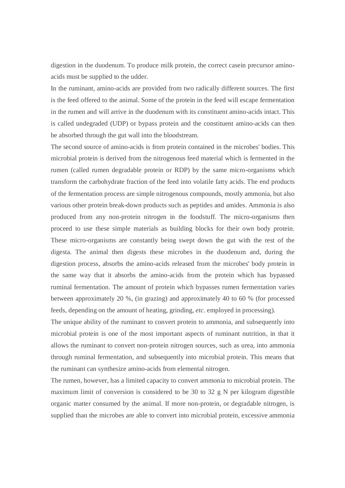digestion in the duodenum. To produce milk protein, the correct casein precursor aminoacids must be supplied to the udder.

In the ruminant, amino-acids are provided from two radically different sources. The first is the feed offered to the animal. Some of the protein in the feed will escape fermentation in the rumen and will arrive in the duodenum with its constituent amino-acids intact. This is called undegraded (UDP) or bypass protein and the constituent amino-acids can then be absorbed through the gut wall into the bloodstream.

The second source of amino-acids is from protein contained in the microbes' bodies. This microbial protein is derived from the nitrogenous feed material which is fermented in the rumen (called rumen degradable protein or RDP) by the same micro-organisms which transform the carbohydrate fraction of the feed into volatile fatty acids. The end products of the fermentation process are simple nitrogenous compounds, mostly ammonia, but also various other protein break-down products such as peptides and amides. Ammonia is also produced from any non-protein nitrogen in the foodstuff. The micro-organisms then proceed to use these simple materials as building blocks for their own body protein. These micro-organisms are constantly being swept down the gut with the rest of the digesta. The animal then digests these microbes in the duodenum and, during the digestion process, absorbs the amino-acids released from the microbes' body protein in the same way that it absorbs the amino-acids from the protein which has bypassed ruminal fermentation. The amount of protein which bypasses rumen fermentation varies between approximately 20 %, (in grazing) and approximately 40 to 60 % (for processed feeds, depending on the amount of heating, grinding, *etc*. employed in processing).

The unique ability of the ruminant to convert protein to ammonia, and subsequently into microbial protein is one of the most important aspects of ruminant nutrition, in that it allows the ruminant to convert non-protein nitrogen sources, such as urea, into ammonia through ruminal fermentation, and subsequently into microbial protein. This means that the ruminant can synthesize amino-acids from elemental nitrogen.

The rumen, however, has a limited capacity to convert ammonia to microbial protein. The maximum limit of conversion is considered to be 30 to 32 g N per kilogram digestible organic matter consumed by the animal. If more non-protein, or degradable nitrogen, is supplied than the microbes are able to convert into microbial protein, excessive ammonia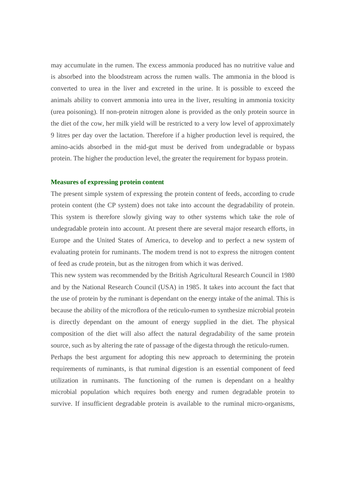may accumulate in the rumen. The excess ammonia produced has no nutritive value and is absorbed into the bloodstream across the rumen walls. The ammonia in the blood is converted to urea in the liver and excreted in the urine. It is possible to exceed the animals ability to convert ammonia into urea in the liver, resulting in ammonia toxicity (urea poisoning). If non-protein nitrogen alone is provided as the only protein source in the diet of the cow, her milk yield will be restricted to a very low level of approximately 9 litres per day over the lactation. Therefore if a higher production level is required, the amino-acids absorbed in the mid-gut must be derived from undegradable or bypass protein. The higher the production level, the greater the requirement for bypass protein.

#### **Measures of expressing protein content**

The present simple system of expressing the protein content of feeds, according to crude protein content (the CP system) does not take into account the degradability of protein. This system is therefore slowly giving way to other systems which take the role of undegradable protein into account. At present there are several major research efforts, in Europe and the United States of America, to develop and to perfect a new system of evaluating protein for ruminants. The modern trend is not to express the nitrogen content of feed as crude protein, but as the nitrogen from which it was derived.

This new system was recommended by the British Agricultural Research Council in 1980 and by the National Research Council (USA) in 1985. It takes into account the fact that the use of protein by the ruminant is dependant on the energy intake of the animal. This is because the ability of the microflora of the reticulo-rumen to synthesize microbial protein is directly dependant on the amount of energy supplied in the diet. The physical composition of the diet will also affect the natural degradability of the same protein source, such as by altering the rate of passage of the digesta through the reticulo-rumen.

Perhaps the best argument for adopting this new approach to determining the protein requirements of ruminants, is that ruminal digestion is an essential component of feed utilization in ruminants. The functioning of the rumen is dependant on a healthy microbial population which requires both energy and rumen degradable protein to survive. If insufficient degradable protein is available to the ruminal micro-organisms,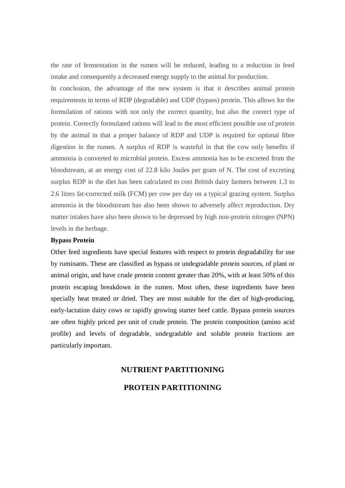the rate of fermentation in the rumen will be reduced, leading to a reduction in feed intake and consequently a decreased energy supply to the animal for production.

In conclusion, the advantage of the new system is that it describes animal protein requirements in terms of RDP (degradable) and UDP (bypass) protein. This allows for the formulation of rations with not only the correct quantity, but also the correct type of protein. Correctly formulated rations will lead to the most efficient possible use of protein by the animal in that a proper balance of RDP and UDP is required for optimal fibre digestion in the rumen. A surplus of RDP is wasteful in that the cow only benefits if ammonia is converted to microbial protein. Excess ammonia has to be excreted from the bloodstream, at an energy cost of 22.8 kilo Joules per gram of N. The cost of excreting surplus RDP in the diet has been calculated to cost British dairy farmers between 1.3 to 2.6 litres fat-corrected milk (FCM) per cow per day on a typical grazing system. Surplus ammonia in the bloodstream has also been shown to adversely affect reproduction. Dry matter intakes have also been shown to be depressed by high non-protein nitrogen (NPN) levels in the herbage.

#### **Bypass Protein**

Other feed ingredients have special features with respect to protein degradability for use by ruminants. These are classified as bypass or undegradable protein sources, of plant or animal origin, and have crude protein content greater than 20%, with at least 50% of this protein escaping breakdown in the rumen. Most often, these ingredients have been specially heat treated or dried. They are most suitable for the diet of high-producing, early-lactation dairy cows or rapidly growing starter beef cattle. Bypass protein sources are often highly priced per unit of crude protein. The protein composition (amino acid profile) and levels of degradable, undegradable and soluble protein fractions are particularly important.

# **NUTRIENT PARTITIONING**

# **PROTEIN PARTITIONING**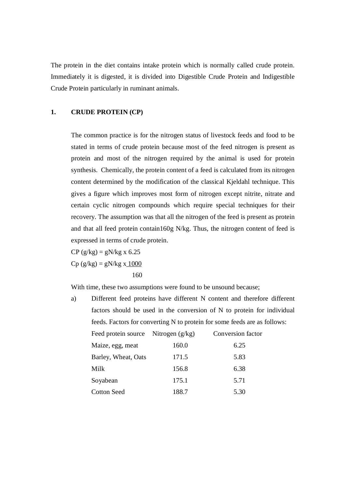The protein in the diet contains intake protein which is normally called crude protein. Immediately it is digested, it is divided into Digestible Crude Protein and Indigestible Crude Protein particularly in ruminant animals.

# **1. CRUDE PROTEIN (CP)**

The common practice is for the nitrogen status of livestock feeds and food to be stated in terms of crude protein because most of the feed nitrogen is present as protein and most of the nitrogen required by the animal is used for protein synthesis. Chemically, the protein content of a feed is calculated from its nitrogen content determined by the modification of the classical Kjeldahl technique. This gives a figure which improves most form of nitrogen except nitrite, nitrate and certain cyclic nitrogen compounds which require special techniques for their recovery. The assumption was that all the nitrogen of the feed is present as protein and that all feed protein contain160g N/kg. Thus, the nitrogen content of feed is expressed in terms of crude protein.

 $CP$  (g/kg) = gN/kg x 6.25  $Cp (g/kg) = gN/kg x 1000$ 160

With time, these two assumptions were found to be unsound because;

| a) |                                                                           |       | Different feed proteins have different N content and therefore different |
|----|---------------------------------------------------------------------------|-------|--------------------------------------------------------------------------|
|    | factors should be used in the conversion of N to protein for individual   |       |                                                                          |
|    | feeds. Factors for converting N to protein for some feeds are as follows: |       |                                                                          |
|    | Feed protein source Nitrogen $(g/kg)$                                     |       | Conversion factor                                                        |
|    | Maize, egg, meat                                                          | 160.0 | 6.25                                                                     |
|    | Barley, Wheat, Oats                                                       | 171.5 | 5.83                                                                     |
|    | Milk                                                                      | 156.8 | 6.38                                                                     |
|    | Soyabean                                                                  | 175.1 | 5.71                                                                     |
|    | Cotton Seed                                                               | 188.7 | 5.30                                                                     |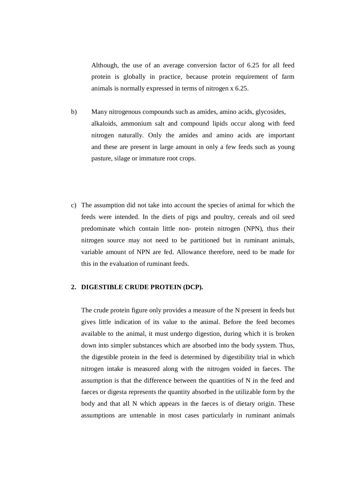Although, the use of an average conversion factor of 6.25 for all feed protein is globally in practice, because protein requirement of farm animals is normally expressed in terms of nitrogen x 6.25.

- b) Many nitrogenous compounds such as amides, amino acids, glycosides, alkaloids, ammonium salt and compound lipids occur along with feed nitrogen naturally. Only the amides and amino acids are important and these are present in large amount in only a few feeds such as young pasture, silage or immature root crops.
- c) The assumption did not take into account the species of animal for which the feeds were intended. In the diets of pigs and poultry, cereals and oil seed predominate which contain little non- protein nitrogen (NPN), thus their nitrogen source may not need to be partitioned but in ruminant animals, variable amount of NPN are fed. Allowance therefore, need to be made for this in the evaluation of ruminant feeds.

## **2. DIGESTIBLE CRUDE PROTEIN (DCP).**

The crude protein figure only provides a measure of the N present in feeds but gives little indication of its value to the animal. Before the feed becomes available to the animal, it must undergo digestion, during which it is broken down into simpler substances which are absorbed into the body system. Thus, the digestible protein in the feed is determined by digestibility trial in which nitrogen intake is measured along with the nitrogen voided in faeces. The assumption is that the difference between the quantities of N in the feed and faeces or digesta represents the quantity absorbed in the utilizable form by the body and that all N which appears in the faeces is of dietary origin. These assumptions are untenable in most cases particularly in ruminant animals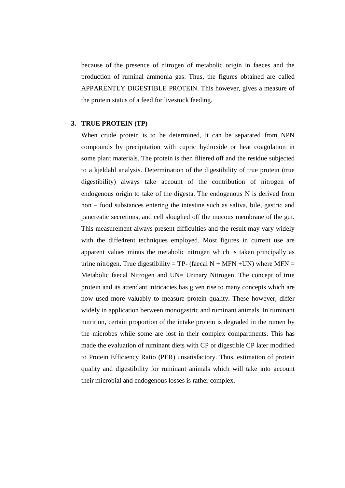because of the presence of nitrogen of metabolic origin in faeces and the production of ruminal ammonia gas. Thus, the figures obtained are called APPARENTLY DIGESTIBLE PROTEIN. This however, gives a measure of the protein status of a feed for livestock feeding.

#### **3. TRUE PROTEIN (TP)**

When crude protein is to be determined, it can be separated from NPN compounds by precipitation with cupric hydroxide or heat coagulation in some plant materials. The protein is then filtered off and the residue subjected to a kjeldahl analysis. Determination of the digestibility of true protein (true digestibility) always take account of the contribution of nitrogen of endogenous origin to take of the digesta. The endogenous N is derived from non – food substances entering the intestine such as saliva, bile, gastric and pancreatic secretions, and cell sloughed off the mucous membrane of the gut. This measurement always present difficulties and the result may vary widely with the diffe4rent techniques employed. Most figures in current use are apparent values minus the metabolic nitrogen which is taken principally as urine nitrogen. True digestibility = TP- (faecal  $N + MFN + UN$ ) where MFN = Metabolic faecal Nitrogen and UN= Urinary Nitrogen. The concept of true protein and its attendant intricacies has given rise to many concepts which are now used more valuably to measure protein quality. These however, differ widely in application between monogastric and ruminant animals. In ruminant nutrition, certain proportion of the intake protein is degraded in the rumen by the microbes while some are lost in their complex compartments. This has made the evaluation of ruminant diets with CP or digestible CP later modified to Protein Efficiency Ratio (PER) unsatisfactory. Thus, estimation of protein quality and digestibility for ruminant animals which will take into account their microbial and endogenous losses is rather complex.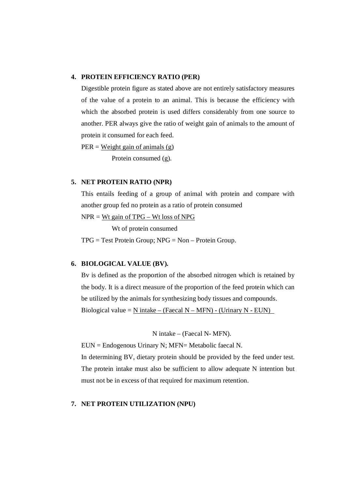#### **4. PROTEIN EFFICIENCY RATIO (PER)**

Digestible protein figure as stated above are not entirely satisfactory measures of the value of a protein to an animal. This is because the efficiency with which the absorbed protein is used differs considerably from one source to another. PER always give the ratio of weight gain of animals to the amount of protein it consumed for each feed.

 $PER = Weight gain of animals (g)$ 

Protein consumed (g).

# **5. NET PROTEIN RATIO (NPR)**

This entails feeding of a group of animal with protein and compare with another group fed no protein as a ratio of protein consumed

NPR = Wt gain of TPG – Wt loss of NPG

Wt of protein consumed

TPG = Test Protein Group; NPG = Non – Protein Group.

#### **6. BIOLOGICAL VALUE (BV).**

Bv is defined as the proportion of the absorbed nitrogen which is retained by the body. It is a direct measure of the proportion of the feed protein which can be utilized by the animals for synthesizing body tissues and compounds. Biological value = N intake – (Faecal N – MFN) - (Urinary N - EUN)

N intake – (Faecal N- MFN).

EUN = Endogenous Urinary N; MFN= Metabolic faecal N.

In determining BV, dietary protein should be provided by the feed under test. The protein intake must also be sufficient to allow adequate N intention but must not be in excess of that required for maximum retention.

# **7. NET PROTEIN UTILIZATION (NPU)**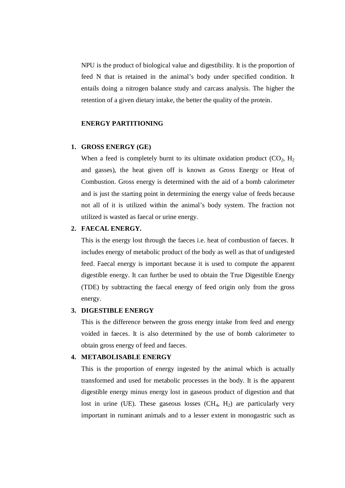NPU is the product of biological value and digestibility. It is the proportion of feed N that is retained in the animal's body under specified condition. It entails doing a nitrogen balance study and carcass analysis. The higher the retention of a given dietary intake, the better the quality of the protein.

#### **ENERGY PARTITIONING**

#### **1. GROSS ENERGY (GE)**

When a feed is completely burnt to its ultimate oxidation product  $(CO_2, H_2)$ and gasses), the heat given off is known as Gross Energy or Heat of Combustion. Gross energy is determined with the aid of a bomb calorimeter and is just the starting point in determining the energy value of feeds because not all of it is utilized within the animal's body system. The fraction not utilized is wasted as faecal or urine energy.

# **2. FAECAL ENERGY.**

This is the energy lost through the faeces i.e. heat of combustion of faeces. It includes energy of metabolic product of the body as well as that of undigested feed. Faecal energy is important because it is used to compute the apparent digestible energy. It can further be used to obtain the True Digestible Energy (TDE) by subtracting the faecal energy of feed origin only from the gross energy.

#### **3. DIGESTIBLE ENERGY**

This is the difference between the gross energy intake from feed and energy voided in faeces. It is also determined by the use of bomb calorimeter to obtain gross energy of feed and faeces.

#### **4. METABOLISABLE ENERGY**

This is the proportion of energy ingested by the animal which is actually transformed and used for metabolic processes in the body. It is the apparent digestible energy minus energy lost in gaseous product of digestion and that lost in urine (UE). These gaseous losses  $(CH_4, H_2)$  are particularly very important in ruminant animals and to a lesser extent in monogastric such as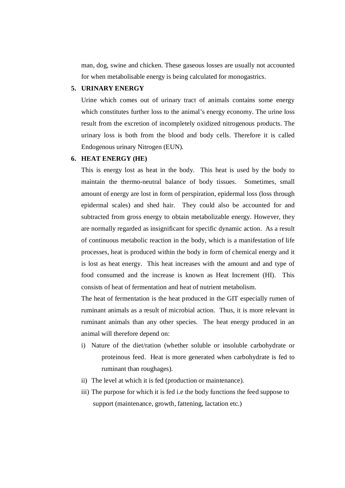man, dog, swine and chicken. These gaseous losses are usually not accounted for when metabolisable energy is being calculated for monogastrics.

# **5. URINARY ENERGY**

Urine which comes out of urinary tract of animals contains some energy which constitutes further loss to the animal's energy economy. The urine loss result from the excretion of incompletely oxidized nitrogenous products. The urinary loss is both from the blood and body cells. Therefore it is called Endogenous urinary Nitrogen (EUN).

#### **6. HEAT ENERGY (HE)**

This is energy lost as heat in the body. This heat is used by the body to maintain the thermo-neutral balance of body tissues. Sometimes, small amount of energy are lost in form of perspiration, epidermal loss (loss through epidermal scales) and shed hair. They could also be accounted for and subtracted from gross energy to obtain metabolizable energy. However, they are normally regarded as insignificant for specific dynamic action. As a result of continuous metabolic reaction in the body, which is a manifestation of life processes, heat is produced within the body in form of chemical energy and it is lost as heat energy. This heat increases with the amount and and type of food consumed and the increase is known as Heat Increment (HI). This consists of heat of fermentation and heat of nutrient metabolism.

The heat of fermentation is the heat produced in the GIT especially rumen of ruminant animals as a result of microbial action. Thus, it is more relevant in ruminant animals than any other species. The heat energy produced in an animal will therefore depend on:

- i) Nature of the diet/ration (whether soluble or insoluble carbohydrate or proteinous feed. Heat is more generated when carbohydrate is fed to ruminant than roughages).
- ii) The level at which it is fed (production or maintenance).
- iii) The purpose for which it is fed i.e the body functions the feed suppose to support (maintenance, growth, fattening, lactation etc.)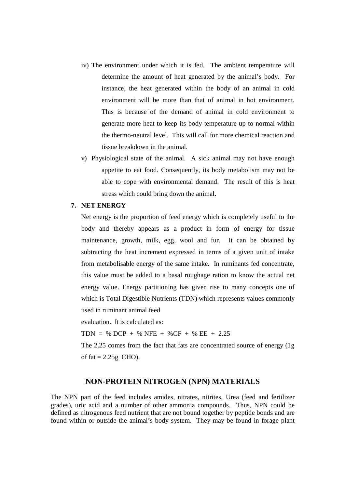- iv) The environment under which it is fed. The ambient temperature will determine the amount of heat generated by the animal's body. For instance, the heat generated within the body of an animal in cold environment will be more than that of animal in hot environment. This is because of the demand of animal in cold environment to generate more heat to keep its body temperature up to normal within the thermo-neutral level. This will call for more chemical reaction and tissue breakdown in the animal.
- v) Physiological state of the animal. A sick animal may not have enough appetite to eat food. Consequently, its body metabolism may not be able to cope with environmental demand. The result of this is heat stress which could bring down the animal.

#### **7. NET ENERGY**

Net energy is the proportion of feed energy which is completely useful to the body and thereby appears as a product in form of energy for tissue maintenance, growth, milk, egg, wool and fur. It can be obtained by subtracting the heat increment expressed in terms of a given unit of intake from metabolisable energy of the same intake. In ruminants fed concentrate, this value must be added to a basal roughage ration to know the actual net energy value. Energy partitioning has given rise to many concepts one of which is Total Digestible Nutrients (TDN) which represents values commonly used in ruminant animal feed

evaluation. It is calculated as:

 $TDN = % DCP + % NFE + % CF + % EE + 2.25$ 

The 2.25 comes from the fact that fats are concentrated source of energy (1g of fat  $= 2.25$ g CHO).

# **NON-PROTEIN NITROGEN (NPN) MATERIALS**

The NPN part of the feed includes amides, nitrates, nitrites, Urea (feed and fertilizer grades), uric acid and a number of other ammonia compounds. Thus, NPN could be defined as nitrogenous feed nutrient that are not bound together by peptide bonds and are found within or outside the animal's body system. They may be found in forage plant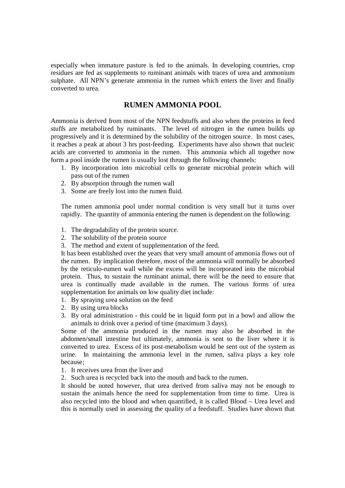especially when immature pasture is fed to the animals. In developing countries, crop residues are fed as supplements to ruminant animals with traces of urea and ammonium sulphate. All NPN's generate ammonia in the rumen which enters the liver and finally converted to urea.

# **RUMEN AMMONIA POOL**

Ammonia is derived from most of the NPN feedstuffs and also when the proteins in feed stuffs are metabolized by ruminants. The level of nitrogen in the rumen builds up progressively and it is determined by the solubility of the nitrogen source. In most cases, it reaches a peak at about 3 hrs post-feeding. Experiments have also shown that nucleic acids are converted to ammonia in the rumen. This ammonia which all together now form a pool inside the rumen is usually lost through the following channels:

- 1. By incorporation into microbial cells to generate microbial protein which will pass out of the rumen
- 2. By absorption through the rumen wall
- 3. Some are freely lost into the rumen fluid.

The rumen ammonia pool under normal condition is very small but it turns over rapidly. The quantity of ammonia entering the rumen is dependent on the following:

- 1. The degradability of the protein source.
- 2. The solubility of the protein source
- 3. The method and extent of supplementation of the feed.

It has been established over the years that very small amount of ammonia flows out of the rumen. By implication therefore, most of the ammonia will normally be absorbed by the reticulo-rumen wall while the excess will be incorporated into the microbial protein. Thus, to sustain the ruminant animal, there will be the need to ensure that urea is continually made available in the rumen. The various forms of urea supplementation for animals on low quality diet include:

- 1. By spraying urea solution on the feed
- 2. By using urea blocks
- 3. By oral administration this could be in liquid form put in a bowl and allow the animals to drink over a period of time (maximum 3 days).

Some of the ammonia produced in the rumen may also be absorbed in the abdomen/small intestine but ultimately, ammonia is sent to the liver where it is converted to urea. Excess of its post-metabolism would be sent out of the system as urine. In maintaining the ammonia level in the rumen, saliva plays a key role because;

- 1. It receives urea from the liver and
- 2. Such urea is recycled back into the mouth and back to the rumen.

It should be noted however, that urea derived from saliva may not be enough to sustain the animals hence the need for supplementation from time to time. Urea is also recycled into the blood and when quantified, it is called Blood – Urea level and this is normally used in assessing the quality of a feedstuff. Studies have shown that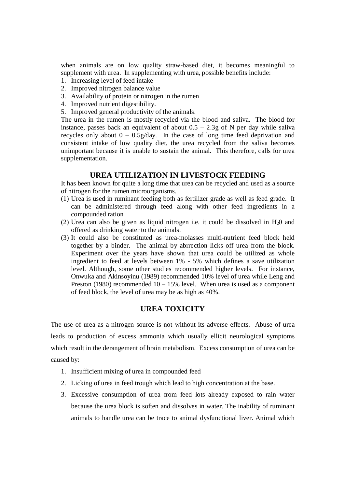when animals are on low quality straw-based diet, it becomes meaningful to supplement with urea. In supplementing with urea, possible benefits include:

- 1. Increasing level of feed intake
- 2. Improved nitrogen balance value
- 3. Availability of protein or nitrogen in the rumen
- 4. Improved nutrient digestibility.
- 5. Improved general productivity of the animals.

The urea in the rumen is mostly recycled via the blood and saliva. The blood for instance, passes back an equivalent of about  $0.5 - 2.3g$  of N per day while saliva recycles only about  $0 - 0.5g/day$ . In the case of long time feed deprivation and consistent intake of low quality diet, the urea recycled from the saliva becomes unimportant because it is unable to sustain the animal. This therefore, calls for urea supplementation.

# **UREA UTILIZATION IN LIVESTOCK FEEDING**

It has been known for quite a long time that urea can be recycled and used as a source of nitrogen for the rumen microorganisms.

- (1) Urea is used in ruminant feeding both as fertilizer grade as well as feed grade. It can be administered through feed along with other feed ingredients in a compounded ration
- (2) Urea can also be given as liquid nitrogen i.e. it could be dissolved in  $H_20$  and offered as drinking water to the animals.
- (3) It could also be constituted as urea-molasses multi-nutrient feed block held together by a binder. The animal by abrrection licks off urea from the block. Experiment over the years have shown that urea could be utilized as whole ingredient to feed at levels between 1% - 5% which defines a save utilization level. Although, some other studies recommended higher levels. For instance, Onwuka and Akinsoyinu (1989) recommended 10% level of urea while Leng and Preston (1980) recommended  $10 - 15%$  level. When urea is used as a component of feed block, the level of urea may be as high as 40%.

# **UREA TOXICITY**

The use of urea as a nitrogen source is not without its adverse effects. Abuse of urea leads to production of excess ammonia which usually ellicit neurological symptoms which result in the derangement of brain metabolism. Excess consumption of urea can be caused by:

- 1. Insufficient mixing of urea in compounded feed
- 2. Licking of urea in feed trough which lead to high concentration at the base.
- 3. Excessive consumption of urea from feed lots already exposed to rain water because the urea block is soften and dissolves in water. The inability of ruminant animals to handle urea can be trace to animal dysfunctional liver. Animal which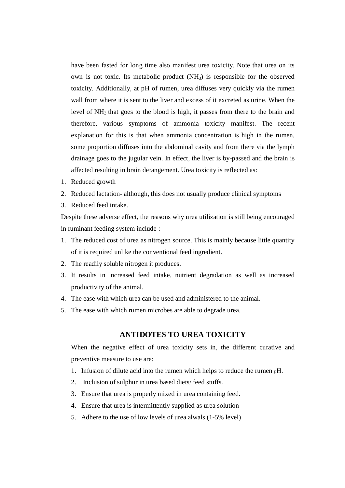have been fasted for long time also manifest urea toxicity. Note that urea on its own is not toxic. Its metabolic product  $(NH_3)$  is responsible for the observed toxicity. Additionally, at pH of rumen, urea diffuses very quickly via the rumen wall from where it is sent to the liver and excess of it excreted as urine. When the level of  $NH_3$  that goes to the blood is high, it passes from there to the brain and therefore, various symptoms of ammonia toxicity manifest. The recent explanation for this is that when ammonia concentration is high in the rumen, some proportion diffuses into the abdominal cavity and from there via the lymph drainage goes to the jugular vein. In effect, the liver is by-passed and the brain is affected resulting in brain derangement. Urea toxicity is reflected as:

- 1. Reduced growth
- 2. Reduced lactation- although, this does not usually produce clinical symptoms
- 3. Reduced feed intake.

Despite these adverse effect, the reasons why urea utilization is still being encouraged in ruminant feeding system include :

- 1. The reduced cost of urea as nitrogen source. This is mainly because little quantity of it is required unlike the conventional feed ingredient.
- 2. The readily soluble nitrogen it produces.
- 3. It results in increased feed intake, nutrient degradation as well as increased productivity of the animal.
- 4. The ease with which urea can be used and administered to the animal.
- 5. The ease with which rumen microbes are able to degrade urea.

# **ANTIDOTES TO UREA TOXICITY**

When the negative effect of urea toxicity sets in, the different curative and preventive measure to use are:

- 1. Infusion of dilute acid into the rumen which helps to reduce the rumen  $\beta$ H.
- 2. Inclusion of sulphur in urea based diets/ feed stuffs.
- 3. Ensure that urea is properly mixed in urea containing feed.
- 4. Ensure that urea is intermittently supplied as urea solution
- 5. Adhere to the use of low levels of urea alwals (1-5% level)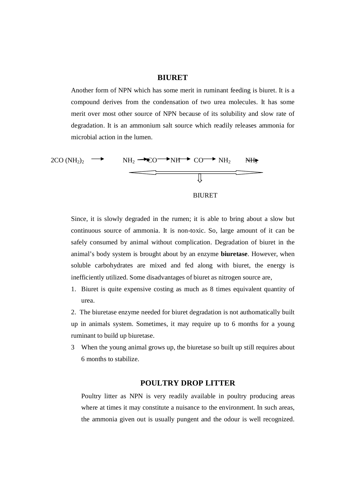#### **BIURET**

Another form of NPN which has some merit in ruminant feeding is biuret. It is a compound derives from the condensation of two urea molecules. It has some merit over most other source of NPN because of its solubility and slow rate of degradation. It is an ammonium salt source which readily releases ammonia for microbial action in the lumen.



Since, it is slowly degraded in the rumen; it is able to bring about a slow but continuous source of ammonia. It is non-toxic. So, large amount of it can be safely consumed by animal without complication. Degradation of biuret in the animal's body system is brought about by an enzyme **biuretase**. However, when soluble carbohydrates are mixed and fed along with biuret, the energy is inefficiently utilized. Some disadvantages of biuret as nitrogen source are,

1. Biuret is quite expensive costing as much as 8 times equivalent quantity of urea.

2. The biuretase enzyme needed for biuret degradation is not authomatically built up in animals system. Sometimes, it may require up to 6 months for a young ruminant to build up biuretase.

3 When the young animal grows up, the biuretase so built up still requires about 6 months to stabilize.

## **POULTRY DROP LITTER**

Poultry litter as NPN is very readily available in poultry producing areas where at times it may constitute a nuisance to the environment. In such areas, the ammonia given out is usually pungent and the odour is well recognized.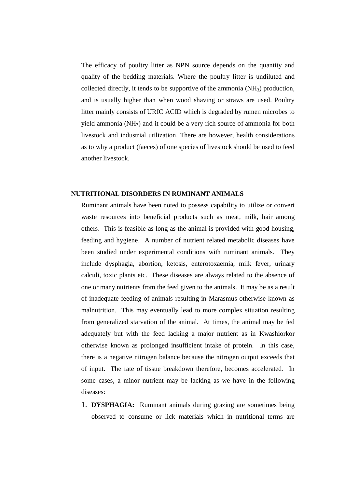The efficacy of poultry litter as NPN source depends on the quantity and quality of the bedding materials. Where the poultry litter is undiluted and collected directly, it tends to be supportive of the ammonia  $(NH<sub>3</sub>)$  production, and is usually higher than when wood shaving or straws are used. Poultry litter mainly consists of URIC ACID which is degraded by rumen microbes to yield ammonia (NH3) and it could be a very rich source of ammonia for both livestock and industrial utilization. There are however, health considerations as to why a product (faeces) of one species of livestock should be used to feed another livestock.

#### **NUTRITIONAL DISORDERS IN RUMINANT ANIMALS**

Ruminant animals have been noted to possess capability to utilize or convert waste resources into beneficial products such as meat, milk, hair among others. This is feasible as long as the animal is provided with good housing, feeding and hygiene. A number of nutrient related metabolic diseases have been studied under experimental conditions with ruminant animals. They include dysphagia, abortion, ketosis, enterotoxaemia, milk fever, urinary calculi, toxic plants etc. These diseases are always related to the absence of one or many nutrients from the feed given to the animals. It may be as a result of inadequate feeding of animals resulting in Marasmus otherwise known as malnutrition. This may eventually lead to more complex situation resulting from generalized starvation of the animal. At times, the animal may be fed adequately but with the feed lacking a major nutrient as in Kwashiorkor otherwise known as prolonged insufficient intake of protein. In this case, there is a negative nitrogen balance because the nitrogen output exceeds that of input. The rate of tissue breakdown therefore, becomes accelerated. In some cases, a minor nutrient may be lacking as we have in the following diseases:

1. **DYSPHAGIA:** Ruminant animals during grazing are sometimes being observed to consume or lick materials which in nutritional terms are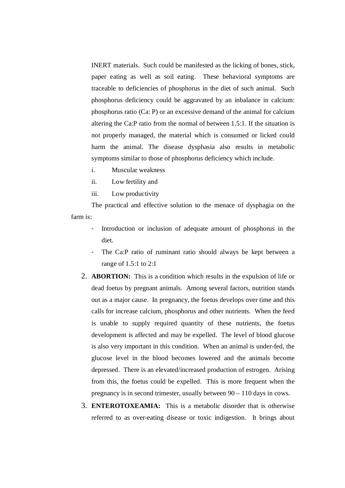INERT materials. Such could be manifested as the licking of bones, stick, paper eating as well as soil eating. These behavioral symptoms are traceable to deficiencies of phosphorus in the diet of such animal. Such phosphorus deficiency could be aggravated by an inbalance in calcium: phosphorus ratio (Ca: P) or an excessive demand of the animal for calcium altering the Ca:P ratio from the normal of between 1.5:1. If the situation is not properly managed, the material which is consumed or licked could harm the animal. The disease dysphasia also results in metabolic symptoms similar to those of phosphorus deficiency which include.

- i. Muscular weakness
- ii. Low fertility and
- iii. Low productivity

The practical and effective solution to the menace of dysphagia on the farm is:

- Introduction or inclusion of adequate amount of phosphorus in the diet.
- The Ca:P ratio of ruminant ratio should always be kept between a range of 1.5:1 to 2:1
- 2. **ABORTION:** This is a condition which results in the expulsion of life or dead foetus by pregnant animals. Among several factors, nutrition stands out as a major cause. In pregnancy, the foetus develops over time and this calls for increase calcium, phosphorus and other nutrients. When the feed is unable to supply required quantity of these nutrients, the foetus development is affected and may be expelled. The level of blood glucose is also very important in this condition. When an animal is under-fed, the glucose level in the blood becomes lowered and the animals become depressed. There is an elevated/increased production of estrogen. Arising from this, the foetus could be expelled. This is more frequent when the pregnancy is in second trimester, usually between 90 – 110 days in cows.
- 3. **ENTEROTOXEAMIA:** This is a metabolic disorder that is otherwise referred to as over-eating disease or toxic indigestion. It brings about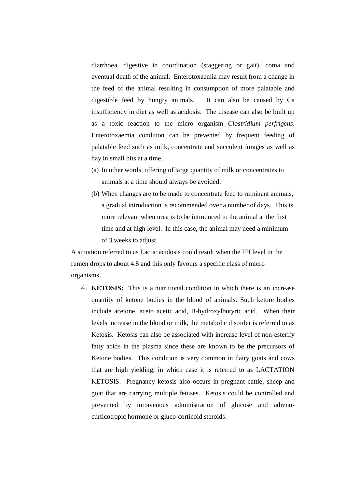diarrhoea, digestive in coordination (staggering or gait), coma and eventual death of the animal. Enterotoxaemia may result from a change in the feed of the animal resulting in consumption of more palatable and digestible feed by hungry animals. It can also be caused by Ca insufficiency in diet as well as acidosis. The disease can also be built up as a toxic reaction to the micro organism *Clostridium perfrigens*. Enterotoxaemia condition can be prevented by frequent feeding of palatable feed such as milk, concentrate and succulent forages as well as hay in small bits at a time.

- (a) In other words, offering of large quantity of milk or concentrates to animals at a time should always be avoided.
- (b) When changes are to be made to concentrate feed to ruminant animals, a gradual introduction is recommended over a number of days. This is more relevant when urea is to be introduced to the animal at the first time and at high level. In this case, the animal may need a minimum of 3 weeks to adjust.

A situation referred to as Lactic acidosis could result when the PH level in the rumen drops to about 4.8 and this only favours a specific class of micro organisms.

4. **KETOSIS:** This is a nutritional condition in which there is an increase quantity of ketone bodies in the blood of animals. Such ketore bodies include acetone, aceto acetic acid, B-hydroxylbutyric acid. When their levels increase in the blood or milk, the metabolic disorder is referred to as Ketosis. Ketosis can also be associated with increase level of non-esterify fatty acids in the plasma since these are known to be the precursors of Ketone bodies. This condition is very common in dairy goats and cows that are high yielding, in which case it is referred to as LACTATION KETOSIS. Pregnancy ketosis also occurs in pregnant cattle, sheep and goat that are carrying multiple fetuses. Ketosis could be controlled and prevented by intravenous administration of glucose and adrenocurticotropic hormone or gluco-corticoid steroids.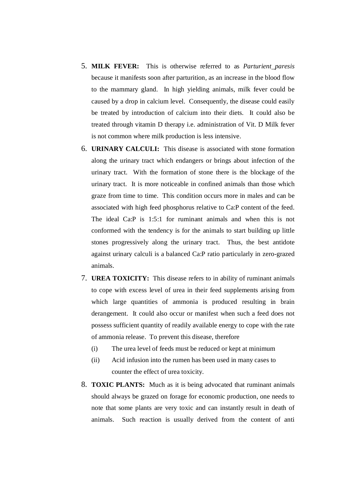- 5. **MILK FEVER:** This is otherwise referred to as *Parturient paresis* because it manifests soon after parturition, as an increase in the blood flow to the mammary gland. In high yielding animals, milk fever could be caused by a drop in calcium level. Consequently, the disease could easily be treated by introduction of calcium into their diets. It could also be treated through vitamin D therapy i.e. administration of Vit. D Milk fever is not common where milk production is less intensive.
- 6. **URINARY CALCULI:** This disease is associated with stone formation along the urinary tract which endangers or brings about infection of the urinary tract. With the formation of stone there is the blockage of the urinary tract. It is more noticeable in confined animals than those which graze from time to time. This condition occurs more in males and can be associated with high feed phosphorus relative to Ca:P content of the feed. The ideal Ca:P is 1:5:1 for ruminant animals and when this is not conformed with the tendency is for the animals to start building up little stones progressively along the urinary tract. Thus, the best antidote against urinary calculi is a balanced Ca:P ratio particularly in zero-grazed animals.
- 7. **UREA TOXICITY:** This disease refers to in ability of ruminant animals to cope with excess level of urea in their feed supplements arising from which large quantities of ammonia is produced resulting in brain derangement. It could also occur or manifest when such a feed does not possess sufficient quantity of readily available energy to cope with the rate of ammonia release. To prevent this disease, therefore
	- (i) The urea level of feeds must be reduced or kept at minimum
	- (ii) Acid infusion into the rumen has been used in many cases to counter the effect of urea toxicity.
- 8. **TOXIC PLANTS:** Much as it is being advocated that ruminant animals should always be grazed on forage for economic production, one needs to note that some plants are very toxic and can instantly result in death of animals. Such reaction is usually derived from the content of anti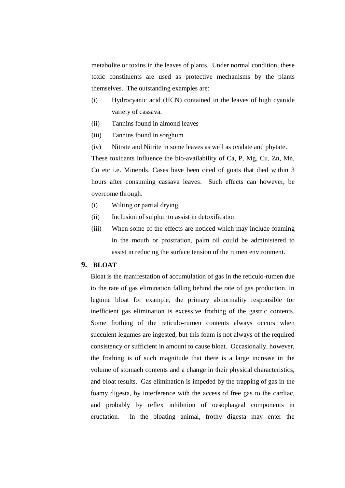metabolite or toxins in the leaves of plants. Under normal condition, these toxic constituents are used as protective mechanisms by the plants themselves. The outstanding examples are:

- (i) Hydrocyanic acid (HCN) contained in the leaves of high cyanide variety of cassava.
- (ii) Tannins found in almond leaves
- (iii) Tannins found in sorghum
- (iv) Nitrate and Nitrite in some leaves as well as oxalate and phytate.

These toxicants influence the bio-availability of Ca, P, Mg, Cu, Zn, Mn, Co etc i.e. Minerals. Cases have been cited of goats that died within 3 hours after consuming cassava leaves. Such effects can however, be overcome through.

- (i) Wilting or partial drying
- (ii) Inclusion of sulphur to assist in detoxification
- (iii) When some of the effects are noticed which may include foaming in the mouth or prostration, palm oil could be administered to assist in reducing the surface tension of the rumen environment.

# **9. BLOAT**

Bloat is the manifestation of accumulation of gas in the reticulo-rumen due to the rate of gas elimination falling behind the rate of gas production. In legume bloat for example, the primary abnormality responsible for inefficient gas elimination is excessive frothing of the gastric contents. Some frothing of the reticulo-rumen contents always occurs when succulent legumes are ingested, but this foam is not always of the required consistency or sufficient in amount to cause bloat. Occasionally, however, the frothing is of such magnitude that there is a large increase in the volume of stomach contents and a change in their physical characteristics, and bloat results. Gas elimination is impeded by the trapping of gas in the foamy digesta, by interference with the access of free gas to the cardiac, and probably by reflex inhibition of oesophageal components in eructation. In the bloating animal, frothy digesta may enter the